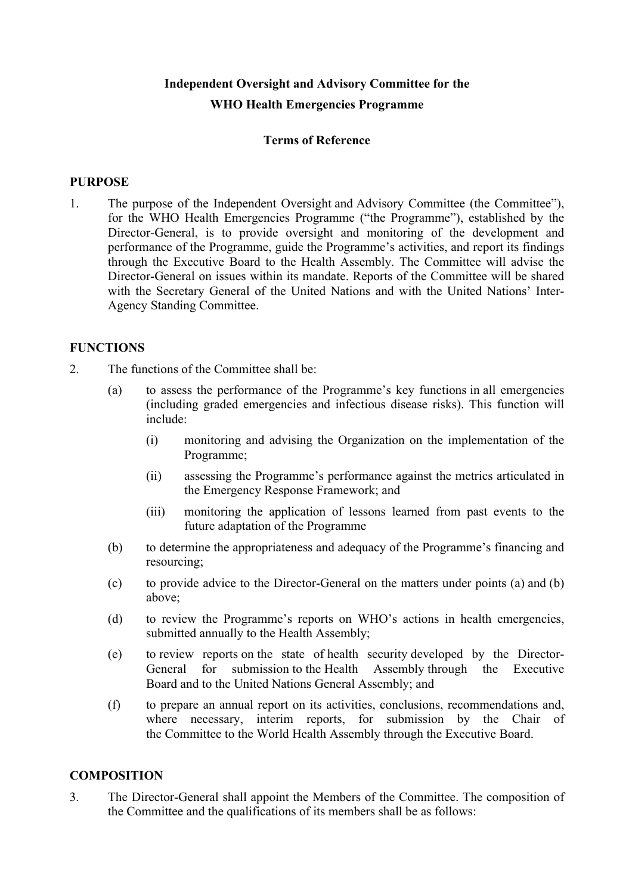# **Independent Oversight and Advisory Committee for the WHO Health Emergencies Programme**

## **Terms of Reference**

#### **PURPOSE**

1. The purpose of the Independent Oversight and Advisory Committee (the Committee"), for the WHO Health Emergencies Programme ("the Programme"), established by the Director-General, is to provide oversight and monitoring of the development and performance of the Programme, guide the Programme's activities, and report its findings through the Executive Board to the Health Assembly. The Committee will advise the Director-General on issues within its mandate. Reports of the Committee will be shared with the Secretary General of the United Nations and with the United Nations' Inter-Agency Standing Committee.

#### **FUNCTIONS**

- 2. The functions of the Committee shall be:
	- (a) to assess the performance of the Programme's key functions in all emergencies (including graded emergencies and infectious disease risks). This function will include:
		- (i) monitoring and advising the Organization on the implementation of the Programme;
		- (ii) assessing the Programme's performance against the metrics articulated in the Emergency Response Framework; and
		- (iii) monitoring the application of lessons learned from past events to the future adaptation of the Programme
	- (b) to determine the appropriateness and adequacy of the Programme's financing and resourcing;
	- (c) to provide advice to the Director-General on the matters under points (a) and (b) above;
	- (d) to review the Programme's reports on WHO's actions in health emergencies, submitted annually to the Health Assembly;
	- (e) to review reports on the state of health security developed by the Director-General for submission to the Health Assembly through the Executive Board and to the United Nations General Assembly; and
	- (f) to prepare an annual report on its activities, conclusions, recommendations and, where necessary, interim reports, for submission by the Chair of the Committee to the World Health Assembly through the Executive Board.

### **COMPOSITION**

3. The Director-General shall appoint the Members of the Committee. The composition of the Committee and the qualifications of its members shall be as follows: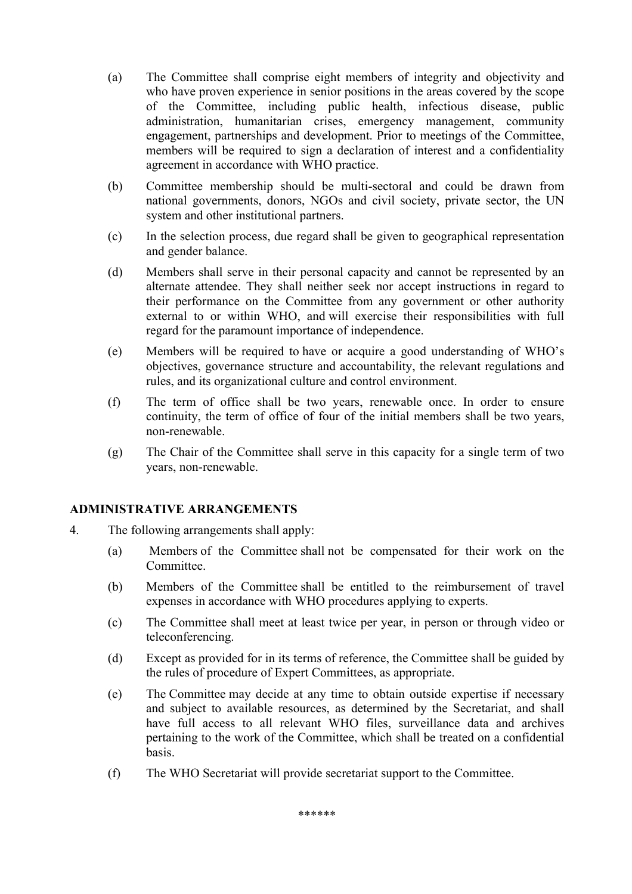- (a) The Committee shall comprise eight members of integrity and objectivity and who have proven experience in senior positions in the areas covered by the scope of the Committee, including public health, infectious disease, public administration, humanitarian crises, emergency management, community engagement, partnerships and development. Prior to meetings of the Committee, members will be required to sign a declaration of interest and a confidentiality agreement in accordance with WHO practice.
- (b) Committee membership should be multi-sectoral and could be drawn from national governments, donors, NGOs and civil society, private sector, the UN system and other institutional partners.
- (c) In the selection process, due regard shall be given to geographical representation and gender balance.
- (d) Members shall serve in their personal capacity and cannot be represented by an alternate attendee. They shall neither seek nor accept instructions in regard to their performance on the Committee from any government or other authority external to or within WHO, and will exercise their responsibilities with full regard for the paramount importance of independence.
- (e) Members will be required to have or acquire a good understanding of WHO's objectives, governance structure and accountability, the relevant regulations and rules, and its organizational culture and control environment.
- (f) The term of office shall be two years, renewable once. In order to ensure continuity, the term of office of four of the initial members shall be two years, non-renewable.
- (g) The Chair of the Committee shall serve in this capacity for a single term of two years, non-renewable.

#### **ADMINISTRATIVE ARRANGEMENTS**

- 4. The following arrangements shall apply:
	- (a) Members of the Committee shall not be compensated for their work on the **Committee**
	- (b) Members of the Committee shall be entitled to the reimbursement of travel expenses in accordance with WHO procedures applying to experts.
	- (c) The Committee shall meet at least twice per year, in person or through video or teleconferencing.
	- (d) Except as provided for in its terms of reference, the Committee shall be guided by the rules of procedure of Expert Committees, as appropriate.
	- (e) The Committee may decide at any time to obtain outside expertise if necessary and subject to available resources, as determined by the Secretariat, and shall have full access to all relevant WHO files, surveillance data and archives pertaining to the work of the Committee, which shall be treated on a confidential basis.
	- (f) The WHO Secretariat will provide secretariat support to the Committee.